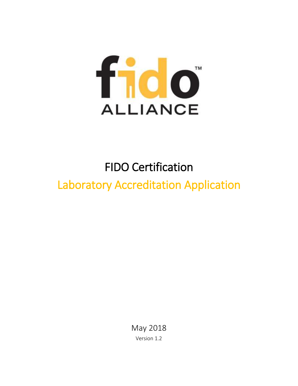

# FIDO Certification

# Laboratory Accreditation Application

May 2018 Version 1.2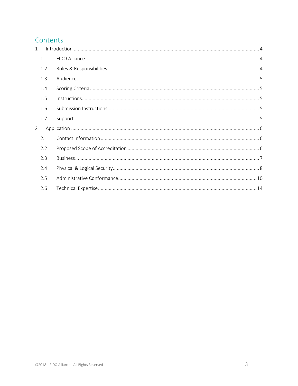#### Contents

| $\mathbf{1}$   |     |  |
|----------------|-----|--|
|                | 1.1 |  |
|                | 1.2 |  |
|                | 1.3 |  |
|                | 1.4 |  |
|                | 1.5 |  |
|                | 1.6 |  |
|                | 1.7 |  |
| $\overline{2}$ |     |  |
|                | 2.1 |  |
|                | 2.2 |  |
|                | 2.3 |  |
|                | 2.4 |  |
|                | 2.5 |  |
|                | 2.6 |  |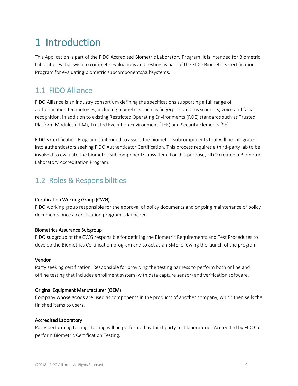## <span id="page-3-0"></span>1 Introduction

This Application is part of the FIDO Accredited Biometric Laboratory Program. It is intended for Biometric Laboratories that wish to complete evaluations and testing as part of the FIDO Biometrics Certification Program for evaluating biometric subcomponents/subsystems.

#### <span id="page-3-1"></span>1.1 FIDO Alliance

FIDO Alliance is an industry consortium defining the specifications supporting a full range of authentication technologies, including biometrics such as fingerprint and iris scanners, voice and facial recognition, in addition to existing Restricted Operating Environments (ROE) standards such as Trusted Platform Modules (TPM), Trusted Execution Environment (TEE) and Security Elements (SE).

FIDO's Certification Program is intended to assess the biometric subcomponents that will be integrated into authenticators seeking FIDO Authenticator Certification. This process requires a third-party lab to be involved to evaluate the biometric subcomponent/subsystem. For this purpose, FIDO created a Biometric Laboratory Accreditation Program.

#### <span id="page-3-2"></span>1.2 Roles & Responsibilities

#### Certification Working Group (CWG)

FIDO working group responsible for the approval of policy documents and ongoing maintenance of policy documents once a certification program is launched.

#### Biometrics Assurance Subgroup

FIDO subgroup of the CWG responsible for defining the Biometric Requirements and Test Procedures to develop the Biometrics Certification program and to act as an SME following the launch of the program.

#### Vendor

Party seeking certification. Responsible for providing the testing harness to perform both online and offline testing that includes enrollment system (with data capture sensor) and verification software.

#### Original Equipment Manufacturer (OEM)

Company whose goods are used as components in the products of another company, which then sells the finished items to users.

#### Accredited Laboratory

Party performing testing. Testing will be performed by third-party test laboratories Accredited by FIDO to perform Biometric Certification Testing.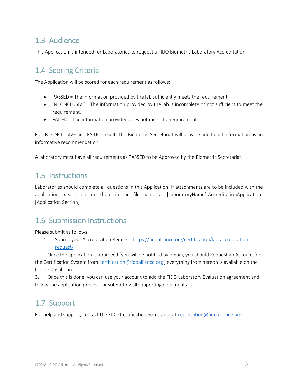#### <span id="page-4-0"></span>1.3 Audience

<span id="page-4-1"></span>This Application is intended for Laboratories to request a FIDO Biometric Laboratory Accreditation.

### 1.4 Scoring Criteria

The Application will be scored for each requirement as follows:

- PASSED = The information provided by the lab sufficiently meets the requirement
- INCONCLUSIVE = The information provided by the lab is incomplete or not sufficient to meet the requirement.
- FAILED = The information provided does not meet the requirement.

For INCONCLUSIVE and FAILED results the Biometric Secretariat will provide additional information as an informative recommendation.

<span id="page-4-2"></span>A laboratory must have all requirements as PASSED to be Approved by the Biometric Secretariat.

#### 1.5 Instructions

Laboratories should complete all questions in this Application. If attachments are to be included with the application please indicate them in the file name as [LaboratoryName]-AccreditationApplication-[Application Section].

#### <span id="page-4-3"></span>1.6 Submission Instructions

Please submit as follows:

1. Submit your Accreditation Request[: https://fidoalliance.org/certification/lab-accreditation](https://fidoalliance.org/certification/lab-accreditation-request/)[request/](https://fidoalliance.org/certification/lab-accreditation-request/)

2. Once the application is approved (you will be notified by email), you should Request an Account for the Certification System from [certification@fidoalliance.org](mailto:certification@fidoalliance.org), everything from hereon is available on the Online Dashboard.

3. Once this is done, you can use your account to add the FIDO Laboratory Evaluation agreement and follow the application process for submitting all supporting documents

### <span id="page-4-4"></span>1.7 Support

For help and support, contact the FIDO Certification Secretariat at [certification@fidoalliance.org.](mailto:certification@fidoalliance.org)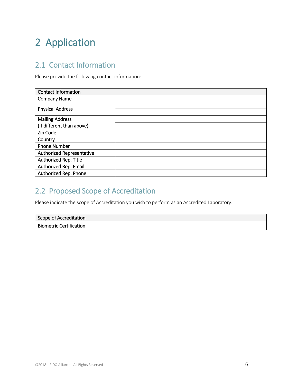# <span id="page-5-0"></span>2 Application

### <span id="page-5-1"></span>2.1 Contact Information

Please provide the following contact information:

| <b>Contact Information</b> |  |
|----------------------------|--|
| <b>Company Name</b>        |  |
| <b>Physical Address</b>    |  |
|                            |  |
| <b>Mailing Address</b>     |  |
| (If different than above)  |  |
| Zip Code                   |  |
| Country                    |  |
| <b>Phone Number</b>        |  |
| Authorized Representative  |  |
| Authorized Rep. Title      |  |
| Authorized Rep. Email      |  |
| Authorized Rep. Phone      |  |

### <span id="page-5-2"></span>2.2 Proposed Scope of Accreditation

Please indicate the scope of Accreditation you wish to perform as an Accredited Laboratory:

| Scope of Accreditation         |  |
|--------------------------------|--|
| <b>Biometric Certification</b> |  |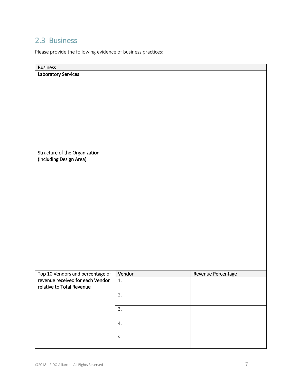### <span id="page-6-0"></span>2.3 Business

Please provide the following evidence of business practices:

| <b>Business</b>                                                                 |         |                    |
|---------------------------------------------------------------------------------|---------|--------------------|
| Laboratory Services<br>Structure of the Organization<br>(including Design Area) |         |                    |
|                                                                                 |         |                    |
| Top 10 Vendors and percentage of                                                | Vendor  | Revenue Percentage |
| revenue received for each Vendor<br>relative to Total Revenue                   | $1. \,$ |                    |
|                                                                                 | 2.      |                    |
|                                                                                 | 3.      |                    |
|                                                                                 | 4.      |                    |
|                                                                                 | 5.      |                    |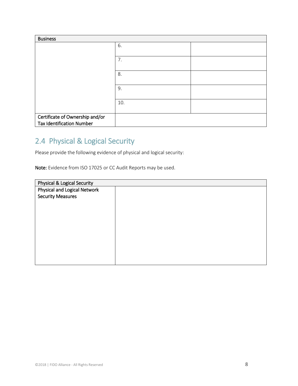| <b>Business</b>                  |     |  |
|----------------------------------|-----|--|
|                                  | 6.  |  |
|                                  |     |  |
|                                  | 7.  |  |
|                                  |     |  |
|                                  | 8.  |  |
|                                  |     |  |
|                                  | 9.  |  |
|                                  |     |  |
|                                  | 10. |  |
|                                  |     |  |
| Certificate of Ownership and/or  |     |  |
| <b>Tax Identification Number</b> |     |  |

## <span id="page-7-0"></span>2.4 Physical & Logical Security

Please provide the following evidence of physical and logical security:

Note: Evidence from ISO 17025 or CC Audit Reports may be used.

| Physical & Logical Security  |  |
|------------------------------|--|
| Physical and Logical Network |  |
| <b>Security Measures</b>     |  |
|                              |  |
|                              |  |
|                              |  |
|                              |  |
|                              |  |
|                              |  |
|                              |  |
|                              |  |
|                              |  |
|                              |  |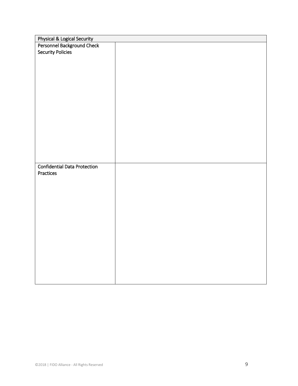| Physical & Logical Security<br>Personnel Background Check<br><b>Security Policies</b> |
|---------------------------------------------------------------------------------------|
|                                                                                       |
|                                                                                       |
|                                                                                       |
|                                                                                       |
|                                                                                       |
|                                                                                       |
|                                                                                       |
|                                                                                       |
|                                                                                       |
|                                                                                       |
|                                                                                       |
|                                                                                       |
|                                                                                       |
|                                                                                       |
|                                                                                       |
|                                                                                       |
|                                                                                       |
|                                                                                       |
| <b>Confidential Data Protection</b>                                                   |
| Practices                                                                             |
|                                                                                       |
|                                                                                       |
|                                                                                       |
|                                                                                       |
|                                                                                       |
|                                                                                       |
|                                                                                       |
|                                                                                       |
|                                                                                       |
|                                                                                       |
|                                                                                       |
|                                                                                       |
|                                                                                       |
|                                                                                       |
|                                                                                       |
|                                                                                       |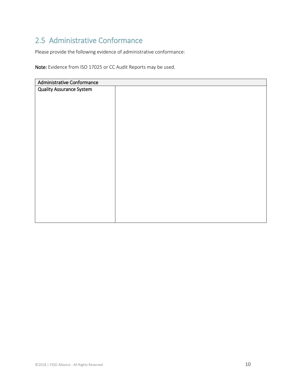## <span id="page-9-0"></span>2.5 Administrative Conformance

Please provide the following evidence of administrative conformance:

Note: Evidence from ISO 17025 or CC Audit Reports may be used.

| Administrative Conformance      |  |
|---------------------------------|--|
| <b>Quality Assurance System</b> |  |
|                                 |  |
|                                 |  |
|                                 |  |
|                                 |  |
|                                 |  |
|                                 |  |
|                                 |  |
|                                 |  |
|                                 |  |
|                                 |  |
|                                 |  |
|                                 |  |
|                                 |  |
|                                 |  |
|                                 |  |
|                                 |  |
|                                 |  |
|                                 |  |
|                                 |  |
|                                 |  |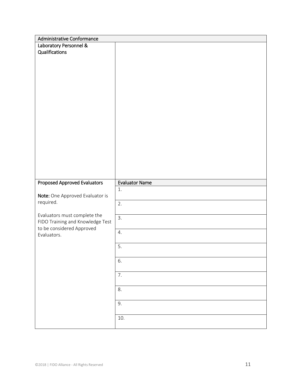| Administrative Conformance                                       |                       |  |
|------------------------------------------------------------------|-----------------------|--|
| Laboratory Personnel &                                           |                       |  |
| Qualifications                                                   |                       |  |
|                                                                  |                       |  |
|                                                                  |                       |  |
|                                                                  |                       |  |
|                                                                  |                       |  |
|                                                                  |                       |  |
|                                                                  |                       |  |
|                                                                  |                       |  |
|                                                                  |                       |  |
|                                                                  |                       |  |
|                                                                  |                       |  |
|                                                                  |                       |  |
|                                                                  |                       |  |
|                                                                  |                       |  |
|                                                                  |                       |  |
|                                                                  |                       |  |
|                                                                  |                       |  |
| Proposed Approved Evaluators                                     | <b>Evaluator Name</b> |  |
|                                                                  | 1.                    |  |
| Note: One Approved Evaluator is                                  |                       |  |
| required.                                                        | 2.                    |  |
|                                                                  |                       |  |
| Evaluators must complete the<br>FIDO Training and Knowledge Test | 3.                    |  |
| to be considered Approved                                        |                       |  |
| Evaluators.                                                      | 4.                    |  |
|                                                                  |                       |  |
|                                                                  | 5.                    |  |
|                                                                  | 6.                    |  |
|                                                                  |                       |  |
|                                                                  |                       |  |
|                                                                  |                       |  |
|                                                                  | 7.                    |  |
|                                                                  |                       |  |
|                                                                  | 8.                    |  |
|                                                                  | 9.                    |  |
|                                                                  |                       |  |
|                                                                  | $10.$                 |  |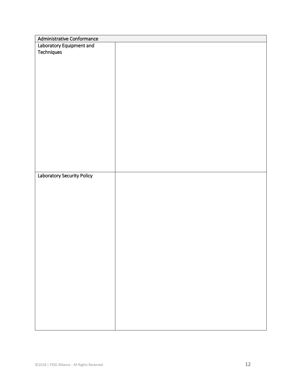| Administrative Conformance |  |
|----------------------------|--|
| Laboratory Equipment and   |  |
| Techniques                 |  |
|                            |  |
|                            |  |
|                            |  |
|                            |  |
|                            |  |
|                            |  |
|                            |  |
|                            |  |
|                            |  |
|                            |  |
|                            |  |
|                            |  |
|                            |  |
|                            |  |
|                            |  |
|                            |  |
|                            |  |
| Laboratory Security Policy |  |
|                            |  |
|                            |  |
|                            |  |
|                            |  |
|                            |  |
|                            |  |
|                            |  |
|                            |  |
|                            |  |
|                            |  |
|                            |  |
|                            |  |
|                            |  |
|                            |  |
|                            |  |
|                            |  |
|                            |  |
|                            |  |
|                            |  |
|                            |  |
|                            |  |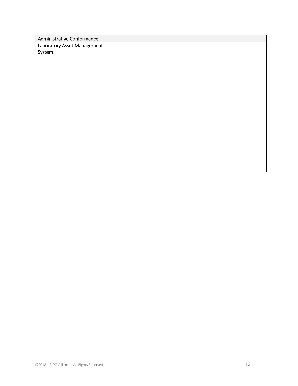| Administrative Conformance  |  |
|-----------------------------|--|
| Laboratory Asset Management |  |
| System                      |  |
|                             |  |
|                             |  |
|                             |  |
|                             |  |
|                             |  |
|                             |  |
|                             |  |
|                             |  |
|                             |  |
|                             |  |
|                             |  |
|                             |  |
|                             |  |
|                             |  |
|                             |  |
|                             |  |
|                             |  |
|                             |  |
|                             |  |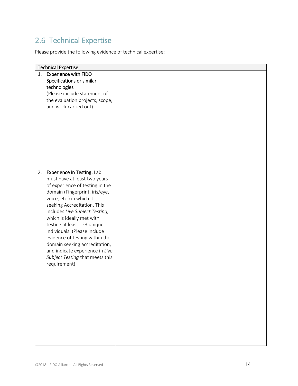## <span id="page-13-0"></span>2.6 Technical Expertise

Please provide the following evidence of technical expertise:

| <b>Technical Expertise</b>        |  |  |  |
|-----------------------------------|--|--|--|
| <b>Experience with FIDO</b><br>1. |  |  |  |
| Specifications or similar         |  |  |  |
| technologies                      |  |  |  |
| (Please include statement of      |  |  |  |
| the evaluation projects, scope,   |  |  |  |
| and work carried out)             |  |  |  |
|                                   |  |  |  |
|                                   |  |  |  |
|                                   |  |  |  |
|                                   |  |  |  |
|                                   |  |  |  |
|                                   |  |  |  |
|                                   |  |  |  |
|                                   |  |  |  |
|                                   |  |  |  |
| 2.<br>Experience in Testing: Lab  |  |  |  |
| must have at least two years      |  |  |  |
| of experience of testing in the   |  |  |  |
| domain (Fingerprint, iris/eye,    |  |  |  |
| voice, etc.) in which it is       |  |  |  |
| seeking Accreditation. This       |  |  |  |
| includes Live Subject Testing,    |  |  |  |
| which is ideally met with         |  |  |  |
| testing at least 123 unique       |  |  |  |
| individuals. (Please include      |  |  |  |
| evidence of testing within the    |  |  |  |
| domain seeking accreditation,     |  |  |  |
| and indicate experience in Live   |  |  |  |
| Subject Testing that meets this   |  |  |  |
| requirement)                      |  |  |  |
|                                   |  |  |  |
|                                   |  |  |  |
|                                   |  |  |  |
|                                   |  |  |  |
|                                   |  |  |  |
|                                   |  |  |  |
|                                   |  |  |  |
|                                   |  |  |  |
|                                   |  |  |  |
|                                   |  |  |  |
|                                   |  |  |  |
|                                   |  |  |  |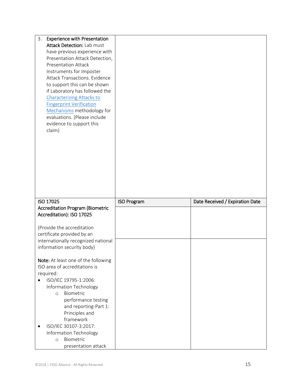| 3.<br><b>Experience with Presentation</b><br>Attack Detection: Lab must<br>have previous experience with<br>Presentation Attack Detection,<br><b>Presentation Attack</b><br>Instruments for Imposter<br>Attack Transactions. Evidence<br>to support this can be shown<br>if Laboratory has followed the<br><b>Characterizing Attacks to</b><br><b>Fingerprint Verification</b><br>Mechanisms methodology for<br>evaluations. (Please include<br>evidence to support this<br>claim) |                    |                                 |
|------------------------------------------------------------------------------------------------------------------------------------------------------------------------------------------------------------------------------------------------------------------------------------------------------------------------------------------------------------------------------------------------------------------------------------------------------------------------------------|--------------------|---------------------------------|
|                                                                                                                                                                                                                                                                                                                                                                                                                                                                                    |                    |                                 |
| ISO 17025                                                                                                                                                                                                                                                                                                                                                                                                                                                                          | <b>ISO Program</b> | Date Received / Expiration Date |
| <b>Accreditation Program (Biometric</b>                                                                                                                                                                                                                                                                                                                                                                                                                                            |                    |                                 |
| Accreditation): ISO 17025                                                                                                                                                                                                                                                                                                                                                                                                                                                          |                    |                                 |
|                                                                                                                                                                                                                                                                                                                                                                                                                                                                                    |                    |                                 |
| (Provide the accreditation                                                                                                                                                                                                                                                                                                                                                                                                                                                         |                    |                                 |
| certificate provided by an                                                                                                                                                                                                                                                                                                                                                                                                                                                         |                    |                                 |
| internationally recognized national                                                                                                                                                                                                                                                                                                                                                                                                                                                |                    |                                 |
| information security body)                                                                                                                                                                                                                                                                                                                                                                                                                                                         |                    |                                 |
| Note: At least one of the following                                                                                                                                                                                                                                                                                                                                                                                                                                                |                    |                                 |
| ISO area of accreditations is                                                                                                                                                                                                                                                                                                                                                                                                                                                      |                    |                                 |
| required:                                                                                                                                                                                                                                                                                                                                                                                                                                                                          |                    |                                 |
| ISO/IEC 19795-1:2006:                                                                                                                                                                                                                                                                                                                                                                                                                                                              |                    |                                 |
| Information Technology                                                                                                                                                                                                                                                                                                                                                                                                                                                             |                    |                                 |
| Biometric<br>$\circ$                                                                                                                                                                                                                                                                                                                                                                                                                                                               |                    |                                 |
| performance testing                                                                                                                                                                                                                                                                                                                                                                                                                                                                |                    |                                 |
| and reporting-Part 1:                                                                                                                                                                                                                                                                                                                                                                                                                                                              |                    |                                 |
| Principles and                                                                                                                                                                                                                                                                                                                                                                                                                                                                     |                    |                                 |
| framework<br>ISO/IEC 30107-3:2017:                                                                                                                                                                                                                                                                                                                                                                                                                                                 |                    |                                 |
| Information Technology                                                                                                                                                                                                                                                                                                                                                                                                                                                             |                    |                                 |
| Biometric<br>$\circ$                                                                                                                                                                                                                                                                                                                                                                                                                                                               |                    |                                 |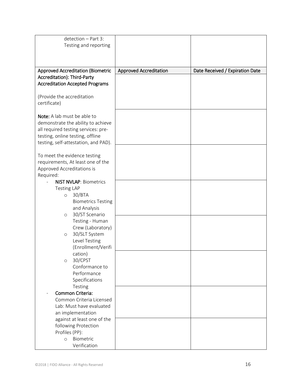| detection - Part 3:                      |                               |                                 |
|------------------------------------------|-------------------------------|---------------------------------|
| Testing and reporting                    |                               |                                 |
|                                          |                               |                                 |
|                                          |                               |                                 |
|                                          |                               |                                 |
| <b>Approved Accreditation (Biometric</b> | <b>Approved Accreditation</b> | Date Received / Expiration Date |
| Accreditation): Third-Party              |                               |                                 |
| <b>Accreditation Accepted Programs</b>   |                               |                                 |
|                                          |                               |                                 |
| (Provide the accreditation               |                               |                                 |
| certificate)                             |                               |                                 |
|                                          |                               |                                 |
| Note: A lab must be able to              |                               |                                 |
| demonstrate the ability to achieve       |                               |                                 |
| all required testing services: pre-      |                               |                                 |
| testing, online testing, offline         |                               |                                 |
| testing, self-attestation, and PAD).     |                               |                                 |
| To meet the evidence testing             |                               |                                 |
| requirements, At least one of the        |                               |                                 |
| Approved Accreditations is               |                               |                                 |
| Required:                                |                               |                                 |
| <b>NIST NVLAP: Biometrics</b>            |                               |                                 |
| <b>Testing LAP</b>                       |                               |                                 |
| 30/BTA<br>$\circ$                        |                               |                                 |
| <b>Biometrics Testing</b>                |                               |                                 |
| and Analysis                             |                               |                                 |
| 30/ST Scenario<br>$\circ$                |                               |                                 |
| Testing - Human                          |                               |                                 |
| Crew (Laboratory)                        |                               |                                 |
| 30/SLT System<br>$\circ$                 |                               |                                 |
| Level Testing                            |                               |                                 |
| (Enrollment/Verifi                       |                               |                                 |
| cation)                                  |                               |                                 |
| 30/CPST<br>$\circ$                       |                               |                                 |
| Conformance to                           |                               |                                 |
| Performance                              |                               |                                 |
| Specifications                           |                               |                                 |
| Testing                                  |                               |                                 |
| Common Criteria:                         |                               |                                 |
| Common Criteria Licensed                 |                               |                                 |
| Lab: Must have evaluated                 |                               |                                 |
| an implementation                        |                               |                                 |
| against at least one of the              |                               |                                 |
| following Protection                     |                               |                                 |
| Profiles (PP):                           |                               |                                 |
| Biometric<br>$\circ$                     |                               |                                 |
| Verification                             |                               |                                 |